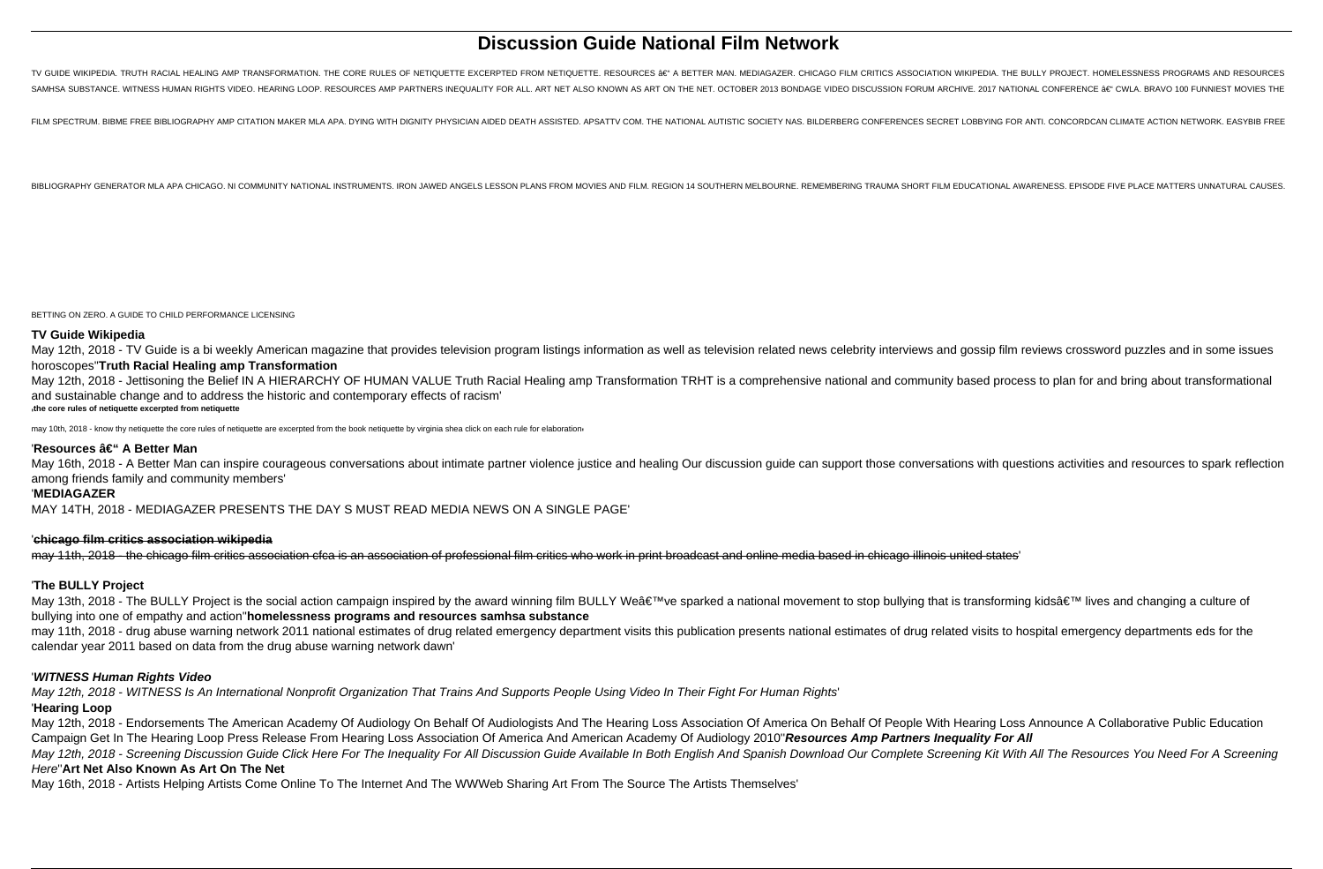# **Discussion Guide National Film Network**

TV GUIDE WIKIPEDIA. TRUTH RACIAL HEALING AMP TRANSFORMATION. THE CORE RULES OF NETIQUETTE EXCERPTED FROM NETIQUETTE. RESOURCES ae" A BETTER MAN. MEDIAGAZER. CHICAGO FILM CRITICS ASSOCIATION WIKIPEDIA. THE BULLY PROJECT. HO SAMHSA SUBSTANCE. WITNESS HUMAN RIGHTS VIDEO. HEARING LOOP. RESOURCES AMP PARTNERS INEQUALITY FOR ALL. ART NET ALSO KNOWN AS ART ON THE NET. OCTOBER 2013 BONDAGE VIDEO DISCUSSION FORUM ARCHIVE. 2017 NATIONAL CONFERENCE â€

FILM SPECTRUM, BIBME FREE BIBLIOGRAPHY AMP CITATION MAKER MLA APA, DYING WITH DIGNITY PHYSICIAN AIDED DEATH ASSISTED, APSATTV COM, THE NATIONAL AUTISTIC SOCIETY NAS, BILDERBERG CONFERENCES SECRET LOBBYING FOR ANTI, CONCORD

BIBLIOGRAPHY GENERATOR MLA APA CHICAGO, NI COMMUNITY NATIONAL INSTRUMENTS. IRON JAWED ANGELS LESSON PLANS FROM MOVIES AND FILM. REGION 14 SOUTHERN MELBOURNE. REMEMBERING TRAUMA SHORT FILM EDUCATIONAL AWARENESS, EPISODE FIV

BETTING ON ZERO. A GUIDE TO CHILD PERFORMANCE LICENSING

May 16th, 2018 - A Better Man can inspire courageous conversations about intimate partner violence justice and healing Our discussion guide can support those conversations with questions activities and resources to spark r among friends family and community members'

# **TV Guide Wikipedia**

May 12th, 2018 - TV Guide is a bi weekly American magazine that provides television program listings information as well as television related news celebrity interviews and gossip film reviews crossword puzzles and in some horoscopes''**Truth Racial Healing amp Transformation** May 12th, 2018 - Jettisoning the Belief IN A HIERARCHY OF HUMAN VALUE Truth Racial Healing amp Transformation TRHT is a comprehensive national and community based process to plan for and bring about transformational

and sustainable change and to address the historic and contemporary effects of racism' '**the core rules of netiquette excerpted from netiquette**

may 10th, 2018 - know thy netiquette the core rules of netiquette are excerpted from the book netiquette by virginia shea click on each rule for elaboration

# 'Resources – A Better Man

# '**MEDIAGAZER**

MAY 14TH, 2018 - MEDIAGAZER PRESENTS THE DAY S MUST READ MEDIA NEWS ON A SINGLE PAGE'

#### '**chicago film critics association wikipedia**

may 11th, 2018 - the chicago film critics association cfca is an association of professional film critics who work in print broadcast and online media based in chicago illinois united states'

### '**The BULLY Project**

May 13th, 2018 - The BULLY Project is the social action campaign inspired by the award winning film BULLY We've sparked a national movement to stop bullying that is transforming kids' lives and changing a culture of bullying into one of empathy and action''**homelessness programs and resources samhsa substance** may 11th, 2018 - drug abuse warning network 2011 national estimates of drug related emergency department visits this publication presents national estimates of drug related visits to hospital emergency departments eds for

calendar year 2011 based on data from the drug abuse warning network dawn'

#### '**WITNESS Human Rights Video**

May 12th, 2018 - WITNESS Is An International Nonprofit Organization That Trains And Supports People Using Video In Their Fight For Human Rights' '**Hearing Loop**

May 12th, 2018 - Endorsements The American Academy Of Audiology On Behalf Of Audiologists And The Hearing Loss Association Of America On Behalf Of People With Hearing Loss Announce A Collaborative Public Education Campaign Get In The Hearing Loop Press Release From Hearing Loss Association Of America And American Academy Of Audiology 2010''**Resources Amp Partners Inequality For All** May 12th, 2018 - Screening Discussion Guide Click Here For The Inequality For All Discussion Guide Available In Both English And Spanish Download Our Complete Screening Kit With All The Resources You Need For A Screening Here''**Art Net Also Known As Art On The Net**

May 16th, 2018 - Artists Helping Artists Come Online To The Internet And The WWWeb Sharing Art From The Source The Artists Themselves'